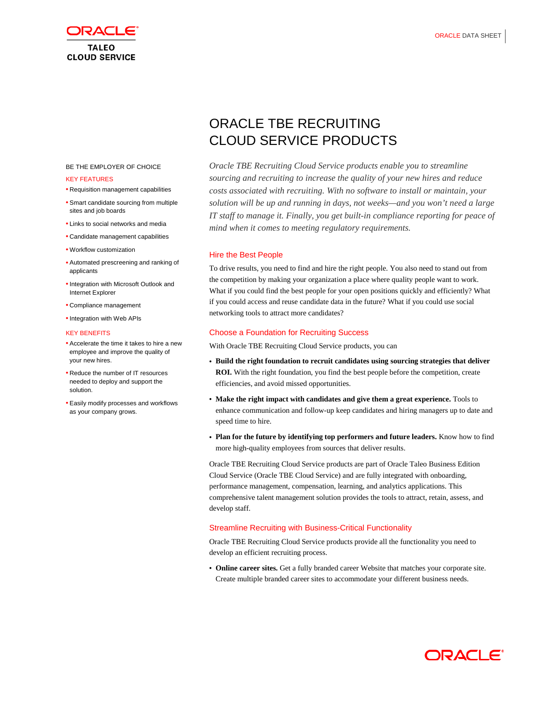

#### BE THE EMPLOYER OF CHOICE

#### KEY FEATURES

- Requisition management capabilities
- Smart candidate sourcing from multiple sites and job boards
- Links to social networks and media
- Candidate management capabilities
- Workflow customization
- Automated prescreening and ranking of applicants
- Integration with Microsoft Outlook and Internet Explorer
- Compliance management
- Integration with Web APIs

#### KEY BENEFITS

- Accelerate the time it takes to hire a new employee and improve the quality of your new hires.
- Reduce the number of IT resources needed to deploy and support the solution.
- Easily modify processes and workflows as your company grows.

# ORACLE TBE RECRUITING CLOUD SERVICE PRODUCTS

*Oracle TBE Recruiting Cloud Service products enable you to streamline sourcing and recruiting to increase the quality of your new hires and reduce costs associated with recruiting. With no software to install or maintain, your solution will be up and running in days, not weeks—and you won't need a large IT staff to manage it. Finally, you get built-in compliance reporting for peace of mind when it comes to meeting regulatory requirements.*

# Hire the Best People

To drive results, you need to find and hire the right people. You also need to stand out from the competition by making your organization a place where quality people want to work. What if you could find the best people for your open positions quickly and efficiently? What if you could access and reuse candidate data in the future? What if you could use social networking tools to attract more candidates?

## Choose a Foundation for Recruiting Success

With Oracle TBE Recruiting Cloud Service products, you can

- **Build the right foundation to recruit candidates using sourcing strategies that deliver ROI.** With the right foundation, you find the best people before the competition, create efficiencies, and avoid missed opportunities.
- **Make the right impact with candidates and give them a great experience.** Tools to enhance communication and follow-up keep candidates and hiring managers up to date and speed time to hire.
- **Plan for the future by identifying top performers and future leaders.** Know how to find more high-quality employees from sources that deliver results.

Oracle TBE Recruiting Cloud Service products are part of Oracle Taleo Business Edition Cloud Service (Oracle TBE Cloud Service) and are fully integrated with onboarding, performance management, compensation, learning, and analytics applications. This comprehensive talent management solution provides the tools to attract, retain, assess, and develop staff.

# Streamline Recruiting with Business-Critical Functionality

Oracle TBE Recruiting Cloud Service products provide all the functionality you need to develop an efficient recruiting process.

• **Online career sites.** Get a fully branded career Website that matches your corporate site. Create multiple branded career sites to accommodate your different business needs.

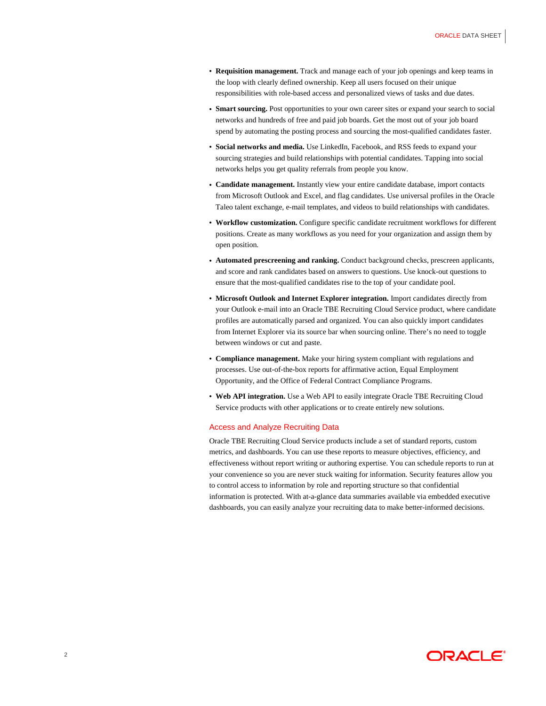- **Requisition management.** Track and manage each of your job openings and keep teams in the loop with clearly defined ownership. Keep all users focused on their unique responsibilities with role-based access and personalized views of tasks and due dates.
- **Smart sourcing.** Post opportunities to your own career sites or expand your search to social networks and hundreds of free and paid job boards. Get the most out of your job board spend by automating the posting process and sourcing the most-qualified candidates faster.
- **Social networks and media.** Use LinkedIn, Facebook, and RSS feeds to expand your sourcing strategies and build relationships with potential candidates. Tapping into social networks helps you get quality referrals from people you know.
- **Candidate management.** Instantly view your entire candidate database, import contacts from Microsoft Outlook and Excel, and flag candidates. Use universal profiles in the Oracle Taleo talent exchange, e-mail templates, and videos to build relationships with candidates.
- **Workflow customization.** Configure specific candidate recruitment workflows for different positions. Create as many workflows as you need for your organization and assign them by open position.
- **Automated prescreening and ranking.** Conduct background checks, prescreen applicants, and score and rank candidates based on answers to questions. Use knock-out questions to ensure that the most-qualified candidates rise to the top of your candidate pool.
- **Microsoft Outlook and Internet Explorer integration.** Import candidates directly from your Outlook e-mail into an Oracle TBE Recruiting Cloud Service product, where candidate profiles are automatically parsed and organized. You can also quickly import candidates from Internet Explorer via its source bar when sourcing online. There's no need to toggle between windows or cut and paste.
- **Compliance management.** Make your hiring system compliant with regulations and processes. Use out-of-the-box reports for affirmative action, Equal Employment Opportunity, and the Office of Federal Contract Compliance Programs.
- **Web API integration.** Use a Web API to easily integrate Oracle TBE Recruiting Cloud Service products with other applications or to create entirely new solutions.

## Access and Analyze Recruiting Data

Oracle TBE Recruiting Cloud Service products include a set of standard reports, custom metrics, and dashboards. You can use these reports to measure objectives, efficiency, and effectiveness without report writing or authoring expertise. You can schedule reports to run at your convenience so you are never stuck waiting for information. Security features allow you to control access to information by role and reporting structure so that confidential information is protected. With at-a-glance data summaries available via embedded executive dashboards, you can easily analyze your recruiting data to make better-informed decisions.